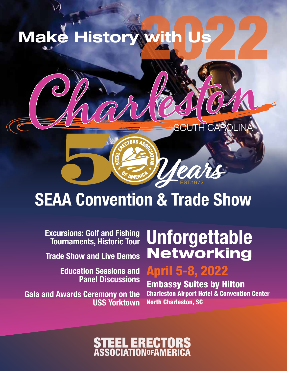



# SEAA Convention & Trade Show

Excursions: Golf and Fishing Tournaments, Historic Tour

Trade Show and Live Demos

Education Sessions and Panel Discussions

Gala and Awards Ceremony on the USS Yorktown

# **Unforgettable** Networking

## April 5-8, 2022

Embassy Suites by Hilton Charleston Airport Hotel & Convention Center North Charleston, SC

# **ASSOCIATIONOFAM**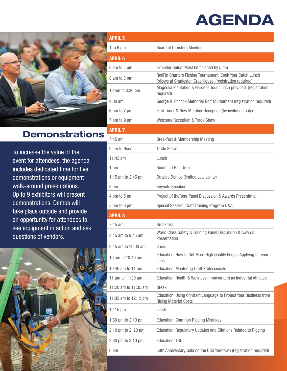## AGENDA



## Demonstrations

To increase the value of the event for attendees, the agenda includes dedicated time for live demonstrations or equipment walk-around presentations. Up to 9 exhibitors will present demonstrations. Demos will take place outside and provide an opportunity for attendees to see equipment in action and ask questions of vendors.



| <b>APRIL 5</b>       |                                                                                                                        |
|----------------------|------------------------------------------------------------------------------------------------------------------------|
| 1 to 6 pm            | <b>Board of Directors Meeting</b>                                                                                      |
| <b>APRIL 6</b>       |                                                                                                                        |
| 8 am to 5 pm         | Exhibitor Setup. Must be finished by 5 pm                                                                              |
| 8 am to 3 pm         | RedFin Charters Fishing Tournament. Cook Your Catch Lunch<br>follows at Charleston Crab House. (registration required) |
| 10 am to 3:30 pm     | Magnolia Plantation & Gardens Tour. Lunch provided. (registration<br>required)                                         |
| $9:00$ am            | George R. Pocock Memorial Golf Tournament (registration required)                                                      |
| 6 pm to 7 pm         | First Timer & New Member Reception (by invitation only)                                                                |
| 7 pm to 9 pm         | <b>Welcome Reception &amp; Trade Show</b>                                                                              |
| <b>APRIL 7</b>       |                                                                                                                        |
| $7:45$ am            | Breakfast & Membership Meeting                                                                                         |
| 9 am to Noon         | <b>Trade Show</b>                                                                                                      |
| $11:45$ am           | $L$ unch                                                                                                               |
| 1 pm                 | Boom Lift Ball Drop                                                                                                    |
| 1:15 pm to 2:45 pm   | <b>Outside Demos (limited availability)</b>                                                                            |
| 3 pm                 | Keynote Speaker                                                                                                        |
| 4 pm to 5 pm         | Project of the Year Panel Discussion & Awards Presentation                                                             |
| 5 pm to 6 pm         | Special Session: Craft Training Program Q&A                                                                            |
| <b>APRIL 8</b>       |                                                                                                                        |
| $7:45$ am            | <b>Breakfast</b>                                                                                                       |
| 8:45 am to 9:45 am   | World Class Safety & Training Panel Discussion & Awards<br>Presentation                                                |
| 9:45 am to 10:00 am  | <b>Break</b>                                                                                                           |
| 10 am to 10:40 am    | Education: How to Get More High Quality People Applying for your<br>Jobs                                               |
| 10:40 am to 11 am    | <b>Education: Mentoring Craft Professionals</b>                                                                        |
| 11 am to 11:20 am    | Education: Health & Wellness--Ironworkers as Industrial Athletes                                                       |
| 11:20 am to 11:35 am | <b>Break</b>                                                                                                           |
| 11:35 am to 12:15 pm | Education: Using Contract Language to Protect Your Business from<br><b>Rising Material Costs</b>                       |
| 12:15 pm             | Lunch                                                                                                                  |
| 1:30 pm to 2:10 pm   | <b>Education: Common Rigging Mistakes</b>                                                                              |
| 2:10 pm to 2: 20 pm  | Education: Regulatory Updates and Citations Related to Rigging                                                         |
| 2:30 pm to 3:10 pm   | <b>Education: TBD</b>                                                                                                  |
| 6 pm                 | 50th Anniversary Gala on the USS Yorktown (registration required)                                                      |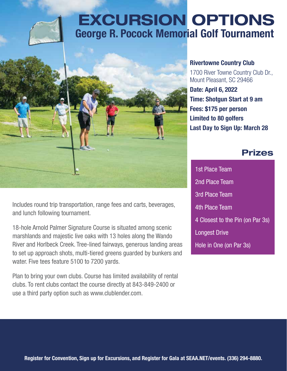



Includes round trip transportation, range fees and carts, beverages, and lunch following tournament.

18-hole Arnold Palmer Signature Course is situated among scenic marshlands and majestic live oaks with 13 holes along the Wando River and Horlbeck Creek. Tree-lined fairways, generous landing areas to set up approach shots, multi-tiered greens guarded by bunkers and water. Five tees feature 5100 to 7200 yards.

Plan to bring your own clubs. Course has limited availability of rental clubs. To rent clubs contact the course directly at 843-849-2400 or use a third party option such as www.clublender.com.

Rivertowne Country Club 1700 River Towne Country Club Dr., Mount Pleasant, SC 29466 Date: April 6, 2022 Time: Shotgun Start at 9 am Fees: \$175 per person Limited to 80 golfers Last Day to Sign Up: March 28

### Prizes

1st Place Team 2nd Place Team 3rd Place Team 4th Place Team 4 Closest to the Pin (on Par 3s) Longest Drive Hole in One (on Par 3s)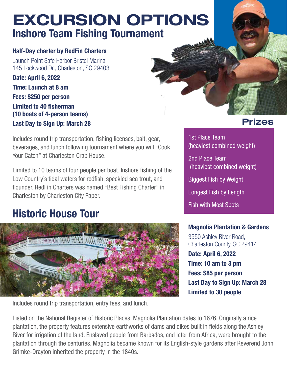## Inshore Team Fishing Tournament EXCURSION OPTIONS

#### Half-Day charter by RedFin Charters

Launch Point Safe Harbor Bristol Marina 145 Lockwood Dr., Charleston, SC 29403

Date: April 6, 2022 Time: Launch at 8 am Fees: \$250 per person Limited to 40 fisherman (10 boats of 4-person teams) Last Day to Sign Up: March 28

Includes round trip transportation, fishing licenses, bait, gear, beverages, and lunch following tournament where you will "Cook Your Catch" at Charleston Crab House.

Limited to 10 teams of four people per boat. Inshore fishing of the Low Country's tidal waters for redfish, speckled sea trout, and flounder. RedFin Charters was named "Best Fishing Charter" in Charleston by Charleston City Paper.

## Historic House Tour



Includes round trip transportation, entry fees, and lunch.

## Prizes

1st Place Team (heaviest combined weight) 2nd Place Team (heaviest combined weight) Biggest Fish by Weight Longest Fish by Length Fish with Most Spots

### Magnolia Plantation & Gardens

3550 Ashley River Road, Charleston County, SC 29414 Date: April 6, 2022 Time: 10 am to 3 pm Fees: \$85 per person Last Day to Sign Up: March 28 Limited to 30 people

Listed on the National Register of Historic Places, Magnolia Plantation dates to 1676. Originally a rice plantation, the property features extensive earthworks of dams and dikes built in fields along the Ashley River for irrigation of the land. Enslaved people from Barbados, and later from Africa, were brought to the plantation through the centuries. Magnolia became known for its English-style gardens after Reverend John Grimke-Drayton inherited the property in the 1840s.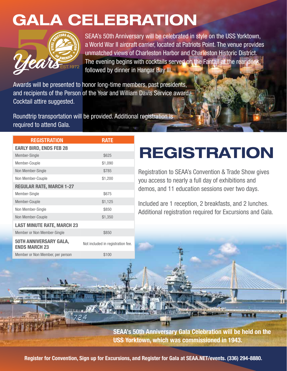## GALA CELEBRATION



SEAA's 50th Anniversary will be celebrated in style on the USS Yorktown, a World War II aircraft carrier, located at Patriots Point. The venue provides unmatched views of Charleston Harbor and Charleston Historic District. The evening begins with cocktails served on the Fantail at the rear deck followed by dinner in Hangar Bay III.

Awards will be presented to honor long-time members, past presidents, and recipients of the Person of the Year and William Davis Service award. Cocktail attire suggested.

Roundtrip transportation will be provided. Additional registration is required to attend Gala.

| <b>REGISTRATION</b>                            | <b>RATE</b>                       |  |  |  |  |  |
|------------------------------------------------|-----------------------------------|--|--|--|--|--|
| <b>EARLY BIRD, ENDS FEB 28</b>                 |                                   |  |  |  |  |  |
| Member-Single                                  | \$625                             |  |  |  |  |  |
| Member-Couple                                  | \$1,090                           |  |  |  |  |  |
| Non Member-Single                              | \$785                             |  |  |  |  |  |
| Non Member-Couple                              | \$1,200                           |  |  |  |  |  |
| <b>REGULAR RATE, MARCH 1-27</b>                |                                   |  |  |  |  |  |
| Member-Single                                  | \$675                             |  |  |  |  |  |
| Member-Couple                                  | \$1,125                           |  |  |  |  |  |
| Non Member-Single                              | \$850                             |  |  |  |  |  |
| Non Member-Couple                              | \$1,350                           |  |  |  |  |  |
| <b>LAST MINUTE RATE, MARCH 23</b>              |                                   |  |  |  |  |  |
| Member or Non Member-Single                    | \$850                             |  |  |  |  |  |
| 50TH ANNIVERSARY GALA,<br><b>ENDS MARCH 23</b> | Not included in registration fee. |  |  |  |  |  |
| Member or Non Member, per person               | \$100                             |  |  |  |  |  |

# REGISTRATION

Registration to SEAA's Convention & Trade Show gives you access to nearly a full day of exhibitions and demos, and 11 education sessions over two days.

Included are 1 reception, 2 breakfasts, and 2 lunches. Additional registration required for Excursions and Gala.

**SEAA's 50th Anniversary Gala Celebration will be held on the USS Yorktown, which was commissioned in 1943.**

Register for Convention, Sign up for Excursions, and Register for Gala at SEAA.NET/events. (336) 294-8880.